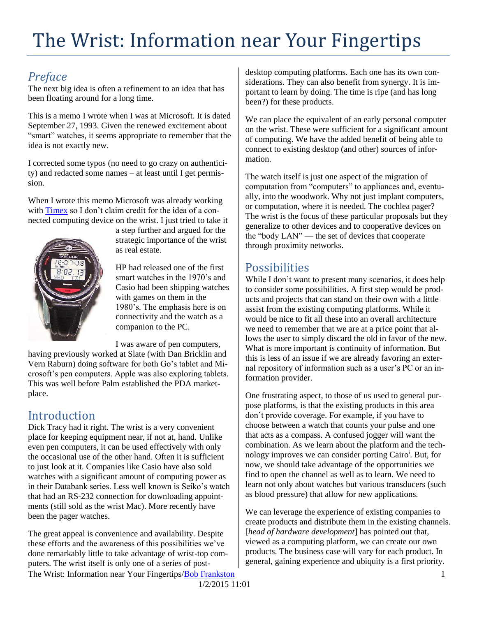# The Wrist: Information near Your Fingertips

### *Preface*

The next big idea is often a refinement to an idea that has been floating around for a long time.

This is a memo I wrote when I was at Microsoft. It is dated September 27, 1993. Given the renewed excitement about "smart" watches, it seems appropriate to remember that the idea is not exactly new.

I corrected some typos (no need to go crazy on authenticity) and redacted some names – at least until I get permission.

When I wrote this memo Microsoft was already working with [Timex](http://en.wikipedia.org/wiki/Timex_Datalink) so I don't claim credit for the idea of a connected computing device on the wrist. I just tried to take it



a step further and argued for the strategic importance of the wrist as real estate.

HP had released one of the first smart watches in the 1970's and Casio had been shipping watches with games on them in the 1980's. The emphasis here is on connectivity and the watch as a companion to the PC.

I was aware of pen computers,

having previously worked at Slate (with Dan Bricklin and Vern Raburn) doing software for both Go's tablet and Microsoft's pen computers. Apple was also exploring tablets. This was well before Palm established the PDA marketplace.

# Introduction

Dick Tracy had it right. The wrist is a very convenient place for keeping equipment near, if not at, hand. Unlike even pen computers, it can be used effectively with only the occasional use of the other hand. Often it is sufficient to just look at it. Companies like Casio have also sold watches with a significant amount of computing power as in their Databank series. Less well known is Seiko's watch that had an RS-232 connection for downloading appointments (still sold as the wrist Mac). More recently have been the pager watches.

The Wrist: Information near Your Fingertips/**Bob Frankston** 1 The great appeal is convenience and availability. Despite these efforts and the awareness of this possibilities we've done remarkably little to take advantage of wrist-top computers. The wrist itself is only one of a series of post-

desktop computing platforms. Each one has its own considerations. They can also benefit from synergy. It is important to learn by doing. The time is ripe (and has long been?) for these products.

We can place the equivalent of an early personal computer on the wrist. These were sufficient for a significant amount of computing. We have the added benefit of being able to connect to existing desktop (and other) sources of information.

The watch itself is just one aspect of the migration of computation from "computers" to appliances and, eventually, into the woodwork. Why not just implant computers, or computation, where it is needed. The cochlea pager? The wrist is the focus of these particular proposals but they generalize to other devices and to cooperative devices on the "body LAN" — the set of devices that cooperate through proximity networks.

## Possibilities

While I don't want to present many scenarios, it does help to consider some possibilities. A first step would be products and projects that can stand on their own with a little assist from the existing computing platforms. While it would be nice to fit all these into an overall architecture we need to remember that we are at a price point that allows the user to simply discard the old in favor of the new. What is more important is continuity of information. But this is less of an issue if we are already favoring an external repository of information such as a user's PC or an information provider.

One frustrating aspect, to those of us used to general purpose platforms, is that the existing products in this area don't provide coverage. For example, if you have to choose between a watch that counts your pulse and one that acts as a compass. A confused jogger will want the combination. As we learn about the platform and the technology improves we can consider porting Cairo<sup>i</sup>. But, for now, we should take advantage of the opportunities we find to open the channel as well as to learn. We need to learn not only about watches but various transducers (such as blood pressure) that allow for new applications.

We can leverage the experience of existing companies to create products and distribute them in the existing channels. [*head of hardware development*] has pointed out that, viewed as a computing platform, we can create our own products. The business case will vary for each product. In general, gaining experience and ubiquity is a first priority.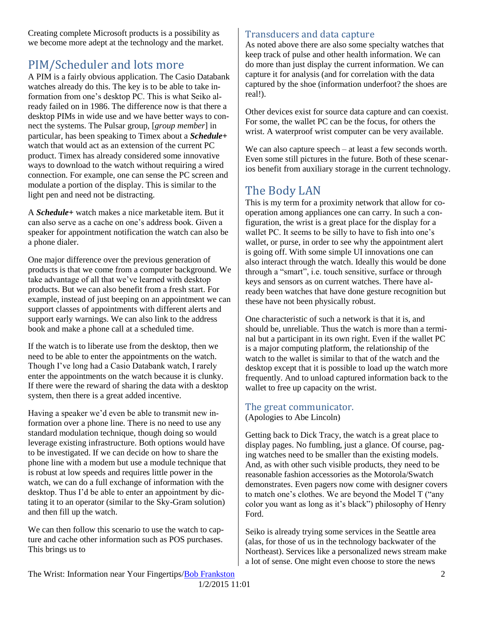Creating complete Microsoft products is a possibility as we become more adept at the technology and the market.

# PIM/Scheduler and lots more

A PIM is a fairly obvious application. The Casio Databank watches already do this. The key is to be able to take information from one's desktop PC. This is what Seiko already failed on in 1986. The difference now is that there a desktop PIMs in wide use and we have better ways to connect the systems. The Pulsar group, [*group member*] in particular, has been speaking to Timex about a *Schedule+* watch that would act as an extension of the current PC product. Timex has already considered some innovative ways to download to the watch without requiring a wired connection. For example, one can sense the PC screen and modulate a portion of the display. This is similar to the light pen and need not be distracting.

A *Schedule+* watch makes a nice marketable item. But it can also serve as a cache on one's address book. Given a speaker for appointment notification the watch can also be a phone dialer.

One major difference over the previous generation of products is that we come from a computer background. We take advantage of all that we've learned with desktop products. But we can also benefit from a fresh start. For example, instead of just beeping on an appointment we can support classes of appointments with different alerts and support early warnings. We can also link to the address book and make a phone call at a scheduled time.

If the watch is to liberate use from the desktop, then we need to be able to enter the appointments on the watch. Though I've long had a Casio Databank watch, I rarely enter the appointments on the watch because it is clunky. If there were the reward of sharing the data with a desktop system, then there is a great added incentive.

Having a speaker we'd even be able to transmit new information over a phone line. There is no need to use any standard modulation technique, though doing so would leverage existing infrastructure. Both options would have to be investigated. If we can decide on how to share the phone line with a modem but use a module technique that is robust at low speeds and requires little power in the watch, we can do a full exchange of information with the desktop. Thus I'd be able to enter an appointment by dictating it to an operator (similar to the Sky-Gram solution) and then fill up the watch.

We can then follow this scenario to use the watch to capture and cache other information such as POS purchases. This brings us to

#### Transducers and data capture

As noted above there are also some specialty watches that keep track of pulse and other health information. We can do more than just display the current information. We can capture it for analysis (and for correlation with the data captured by the shoe (information underfoot? the shoes are real!).

Other devices exist for source data capture and can coexist. For some, the wallet PC can be the focus, for others the wrist. A waterproof wrist computer can be very available.

We can also capture speech – at least a few seconds worth. Even some still pictures in the future. Both of these scenarios benefit from auxiliary storage in the current technology.

## The Body LAN

This is my term for a proximity network that allow for cooperation among appliances one can carry. In such a configuration, the wrist is a great place for the display for a wallet PC. It seems to be silly to have to fish into one's wallet, or purse, in order to see why the appointment alert is going off. With some simple UI innovations one can also interact through the watch. Ideally this would be done through a "smart", i.e. touch sensitive, surface or through keys and sensors as on current watches. There have already been watches that have done gesture recognition but these have not been physically robust.

One characteristic of such a network is that it is, and should be, unreliable. Thus the watch is more than a terminal but a participant in its own right. Even if the wallet PC is a major computing platform, the relationship of the watch to the wallet is similar to that of the watch and the desktop except that it is possible to load up the watch more frequently. And to unload captured information back to the wallet to free up capacity on the wrist.

# The great communicator.

(Apologies to Abe Lincoln)

Getting back to Dick Tracy, the watch is a great place to display pages. No fumbling, just a glance. Of course, paging watches need to be smaller than the existing models. And, as with other such visible products, they need to be reasonable fashion accessories as the Motorola/Swatch demonstrates. Even pagers now come with designer covers to match one's clothes. We are beyond the Model T ("any color you want as long as it's black") philosophy of Henry Ford.

Seiko is already trying some services in the Seattle area (alas, for those of us in the technology backwater of the Northeast). Services like a personalized news stream make a lot of sense. One might even choose to store the news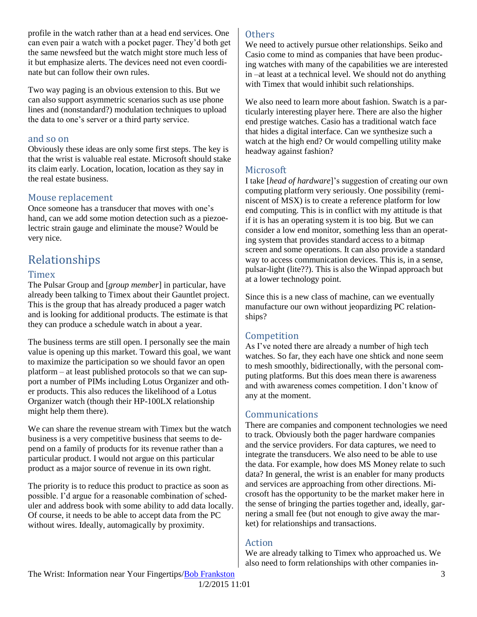profile in the watch rather than at a head end services. One can even pair a watch with a pocket pager. They'd both get the same newsfeed but the watch might store much less of it but emphasize alerts. The devices need not even coordinate but can follow their own rules.

Two way paging is an obvious extension to this. But we can also support asymmetric scenarios such as use phone lines and (nonstandard?) modulation techniques to upload the data to one's server or a third party service.

#### and so on

Obviously these ideas are only some first steps. The key is that the wrist is valuable real estate. Microsoft should stake its claim early. Location, location, location as they say in the real estate business.

#### Mouse replacement

Once someone has a transducer that moves with one's hand, can we add some motion detection such as a piezoelectric strain gauge and eliminate the mouse? Would be very nice.

# Relationships

#### **Timex**

The Pulsar Group and [*group member*] in particular, have already been talking to Timex about their Gauntlet project. This is the group that has already produced a pager watch and is looking for additional products. The estimate is that they can produce a schedule watch in about a year.

The business terms are still open. I personally see the main value is opening up this market. Toward this goal, we want to maximize the participation so we should favor an open platform – at least published protocols so that we can support a number of PIMs including Lotus Organizer and other products. This also reduces the likelihood of a Lotus Organizer watch (though their HP-100LX relationship might help them there).

We can share the revenue stream with Timex but the watch business is a very competitive business that seems to depend on a family of products for its revenue rather than a particular product. I would not argue on this particular product as a major source of revenue in its own right.

The priority is to reduce this product to practice as soon as possible. I'd argue for a reasonable combination of scheduler and address book with some ability to add data locally. Of course, it needs to be able to accept data from the PC without wires. Ideally, automagically by proximity.

#### **Others**

We need to actively pursue other relationships. Seiko and Casio come to mind as companies that have been producing watches with many of the capabilities we are interested in –at least at a technical level. We should not do anything with Timex that would inhibit such relationships.

We also need to learn more about fashion. Swatch is a particularly interesting player here. There are also the higher end prestige watches. Casio has a traditional watch face that hides a digital interface. Can we synthesize such a watch at the high end? Or would compelling utility make headway against fashion?

#### **Microsoft**

I take [*head of hardware*]'s suggestion of creating our own computing platform very seriously. One possibility (reminiscent of MSX) is to create a reference platform for low end computing. This is in conflict with my attitude is that if it is has an operating system it is too big. But we can consider a low end monitor, something less than an operating system that provides standard access to a bitmap screen and some operations. It can also provide a standard way to access communication devices. This is, in a sense, pulsar-light (lite??). This is also the Winpad approach but at a lower technology point.

Since this is a new class of machine, can we eventually manufacture our own without jeopardizing PC relationships?

#### Competition

As I've noted there are already a number of high tech watches. So far, they each have one shtick and none seem to mesh smoothly, bidirectionally, with the personal computing platforms. But this does mean there is awareness and with awareness comes competition. I don't know of any at the moment.

#### Communications

There are companies and component technologies we need to track. Obviously both the pager hardware companies and the service providers. For data captures, we need to integrate the transducers. We also need to be able to use the data. For example, how does MS Money relate to such data? In general, the wrist is an enabler for many products and services are approaching from other directions. Microsoft has the opportunity to be the market maker here in the sense of bringing the parties together and, ideally, garnering a small fee (but not enough to give away the market) for relationships and transactions.

#### Action

We are already talking to Timex who approached us. We also need to form relationships with other companies in-